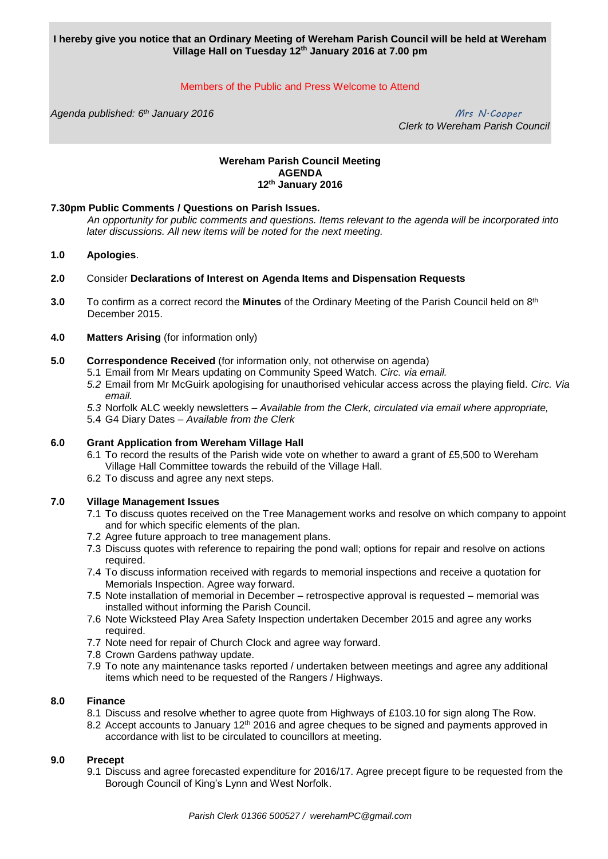**I hereby give you notice that an Ordinary Meeting of Wereham Parish Council will be held at Wereham Village Hall on Tuesday 12th January 2016 at 7.00 pm**

# Members of the Public and Press Welcome to Attend

*Agenda published: 6 th January 2016 Mrs N.Cooper*

 *Clerk to Wereham Parish Council*

#### **Wereham Parish Council Meeting AGENDA 12th January 2016**

## **7.30pm Public Comments / Questions on Parish Issues.**

*An opportunity for public comments and questions. Items relevant to the agenda will be incorporated into later discussions. All new items will be noted for the next meeting.*

## **1.0 Apologies**.

- **2.0** Consider **Declarations of Interest on Agenda Items and Dispensation Requests**
- **3.0** To confirm as a correct record the Minutes of the Ordinary Meeting of the Parish Council held on 8<sup>th</sup> December 2015.

#### **4.0 Matters Arising** (for information only)

- **5.0 Correspondence Received** (for information only, not otherwise on agenda)
	- 5.1 Email from Mr Mears updating on Community Speed Watch. *Circ. via email.*
		- *5.2* Email from Mr McGuirk apologising for unauthorised vehicular access across the playing field. *Circ. Via email.*
		- *5.3* Norfolk ALC weekly newsletters *– Available from the Clerk, circulated via email where appropriate,*
		- 5.4 G4 Diary Dates *Available from the Clerk*

## **6.0 Grant Application from Wereham Village Hall**

- 6.1 To record the results of the Parish wide vote on whether to award a grant of £5,500 to Wereham Village Hall Committee towards the rebuild of the Village Hall.
- 6.2 To discuss and agree any next steps.

#### **7.0 Village Management Issues**

- 7.1 To discuss quotes received on the Tree Management works and resolve on which company to appoint and for which specific elements of the plan.
- 7.2 Agree future approach to tree management plans.
- 7.3 Discuss quotes with reference to repairing the pond wall; options for repair and resolve on actions required.
- 7.4 To discuss information received with regards to memorial inspections and receive a quotation for Memorials Inspection. Agree way forward.
- 7.5 Note installation of memorial in December retrospective approval is requested memorial was installed without informing the Parish Council.
- 7.6 Note Wicksteed Play Area Safety Inspection undertaken December 2015 and agree any works required.
- 7.7 Note need for repair of Church Clock and agree way forward.
- 7.8 Crown Gardens pathway update.
- 7.9 To note any maintenance tasks reported / undertaken between meetings and agree any additional items which need to be requested of the Rangers / Highways.

#### **8.0 Finance**

- 8.1 Discuss and resolve whether to agree quote from Highways of £103.10 for sign along The Row.
- 8.2 Accept accounts to January 12<sup>th</sup> 2016 and agree cheques to be signed and payments approved in accordance with list to be circulated to councillors at meeting.

## **9.0 Precept**

9.1 Discuss and agree forecasted expenditure for 2016/17. Agree precept figure to be requested from the Borough Council of King's Lynn and West Norfolk.